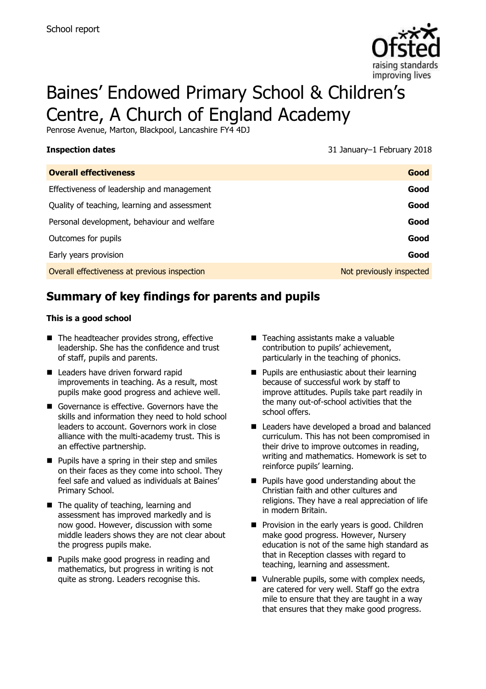

# Baines' Endowed Primary School & Children's Centre, A Church of England Academy

Penrose Avenue, Marton, Blackpool, Lancashire FY4 4DJ

**Inspection dates** 31 January–1 February 2018

| <b>Overall effectiveness</b>                 | Good                     |
|----------------------------------------------|--------------------------|
| Effectiveness of leadership and management   | Good                     |
| Quality of teaching, learning and assessment | Good                     |
| Personal development, behaviour and welfare  | Good                     |
| Outcomes for pupils                          | Good                     |
| Early years provision                        | Good                     |
| Overall effectiveness at previous inspection | Not previously inspected |
|                                              |                          |

# **Summary of key findings for parents and pupils**

#### **This is a good school**

- The headteacher provides strong, effective leadership. She has the confidence and trust of staff, pupils and parents.
- **Leaders have driven forward rapid** improvements in teaching. As a result, most pupils make good progress and achieve well.
- Governance is effective. Governors have the skills and information they need to hold school leaders to account. Governors work in close alliance with the multi-academy trust. This is an effective partnership.
- **Pupils have a spring in their step and smiles** on their faces as they come into school. They feel safe and valued as individuals at Baines' Primary School.
- The quality of teaching, learning and assessment has improved markedly and is now good. However, discussion with some middle leaders shows they are not clear about the progress pupils make.
- **Pupils make good progress in reading and** mathematics, but progress in writing is not quite as strong. Leaders recognise this.
- Teaching assistants make a valuable contribution to pupils' achievement, particularly in the teaching of phonics.
- **Pupils are enthusiastic about their learning** because of successful work by staff to improve attitudes. Pupils take part readily in the many out-of-school activities that the school offers.
- Leaders have developed a broad and balanced curriculum. This has not been compromised in their drive to improve outcomes in reading, writing and mathematics. Homework is set to reinforce pupils' learning.
- **Pupils have good understanding about the** Christian faith and other cultures and religions. They have a real appreciation of life in modern Britain.
- **Provision in the early years is good. Children** make good progress. However, Nursery education is not of the same high standard as that in Reception classes with regard to teaching, learning and assessment.
- Vulnerable pupils, some with complex needs, are catered for very well. Staff go the extra mile to ensure that they are taught in a way that ensures that they make good progress.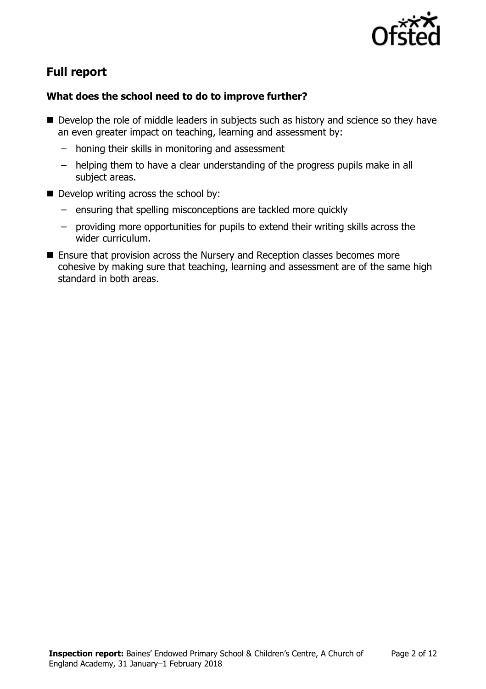

# **Full report**

### **What does the school need to do to improve further?**

- Develop the role of middle leaders in subjects such as history and science so they have an even greater impact on teaching, learning and assessment by:
	- honing their skills in monitoring and assessment
	- helping them to have a clear understanding of the progress pupils make in all subject areas.
- Develop writing across the school by:
	- ensuring that spelling misconceptions are tackled more quickly
	- providing more opportunities for pupils to extend their writing skills across the wider curriculum.
- **Ensure that provision across the Nursery and Reception classes becomes more** cohesive by making sure that teaching, learning and assessment are of the same high standard in both areas.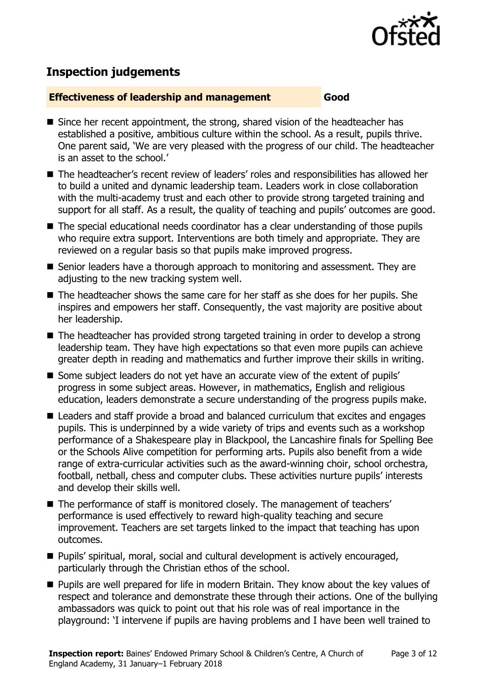

# **Inspection judgements**

#### **Effectiveness of leadership and management Good**

- Since her recent appointment, the strong, shared vision of the headteacher has established a positive, ambitious culture within the school. As a result, pupils thrive. One parent said, 'We are very pleased with the progress of our child. The headteacher is an asset to the school.'
- The headteacher's recent review of leaders' roles and responsibilities has allowed her to build a united and dynamic leadership team. Leaders work in close collaboration with the multi-academy trust and each other to provide strong targeted training and support for all staff. As a result, the quality of teaching and pupils' outcomes are good.
- The special educational needs coordinator has a clear understanding of those pupils who require extra support. Interventions are both timely and appropriate. They are reviewed on a regular basis so that pupils make improved progress.
- Senior leaders have a thorough approach to monitoring and assessment. They are adjusting to the new tracking system well.
- The headteacher shows the same care for her staff as she does for her pupils. She inspires and empowers her staff. Consequently, the vast majority are positive about her leadership.
- The headteacher has provided strong targeted training in order to develop a strong leadership team. They have high expectations so that even more pupils can achieve greater depth in reading and mathematics and further improve their skills in writing.
- Some subject leaders do not yet have an accurate view of the extent of pupils' progress in some subject areas. However, in mathematics, English and religious education, leaders demonstrate a secure understanding of the progress pupils make.
- Leaders and staff provide a broad and balanced curriculum that excites and engages pupils. This is underpinned by a wide variety of trips and events such as a workshop performance of a Shakespeare play in Blackpool, the Lancashire finals for Spelling Bee or the Schools Alive competition for performing arts. Pupils also benefit from a wide range of extra-curricular activities such as the award-winning choir, school orchestra, football, netball, chess and computer clubs. These activities nurture pupils' interests and develop their skills well.
- The performance of staff is monitored closely. The management of teachers' performance is used effectively to reward high-quality teaching and secure improvement. Teachers are set targets linked to the impact that teaching has upon outcomes.
- Pupils' spiritual, moral, social and cultural development is actively encouraged, particularly through the Christian ethos of the school.
- Pupils are well prepared for life in modern Britain. They know about the key values of respect and tolerance and demonstrate these through their actions. One of the bullying ambassadors was quick to point out that his role was of real importance in the playground: 'I intervene if pupils are having problems and I have been well trained to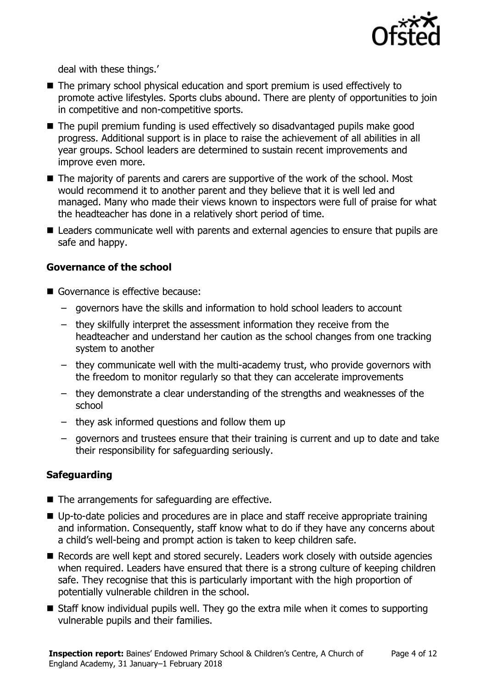

deal with these things.'

- The primary school physical education and sport premium is used effectively to promote active lifestyles. Sports clubs abound. There are plenty of opportunities to join in competitive and non-competitive sports.
- The pupil premium funding is used effectively so disadvantaged pupils make good progress. Additional support is in place to raise the achievement of all abilities in all year groups. School leaders are determined to sustain recent improvements and improve even more.
- The majority of parents and carers are supportive of the work of the school. Most would recommend it to another parent and they believe that it is well led and managed. Many who made their views known to inspectors were full of praise for what the headteacher has done in a relatively short period of time.
- Leaders communicate well with parents and external agencies to ensure that pupils are safe and happy.

### **Governance of the school**

- Governance is effective because:
	- governors have the skills and information to hold school leaders to account
	- they skilfully interpret the assessment information they receive from the headteacher and understand her caution as the school changes from one tracking system to another
	- they communicate well with the multi-academy trust, who provide governors with the freedom to monitor regularly so that they can accelerate improvements
	- they demonstrate a clear understanding of the strengths and weaknesses of the school
	- they ask informed questions and follow them up
	- governors and trustees ensure that their training is current and up to date and take their responsibility for safeguarding seriously.

### **Safeguarding**

- The arrangements for safeguarding are effective.
- Up-to-date policies and procedures are in place and staff receive appropriate training and information. Consequently, staff know what to do if they have any concerns about a child's well-being and prompt action is taken to keep children safe.
- Records are well kept and stored securely. Leaders work closely with outside agencies when required. Leaders have ensured that there is a strong culture of keeping children safe. They recognise that this is particularly important with the high proportion of potentially vulnerable children in the school.
- Staff know individual pupils well. They go the extra mile when it comes to supporting vulnerable pupils and their families.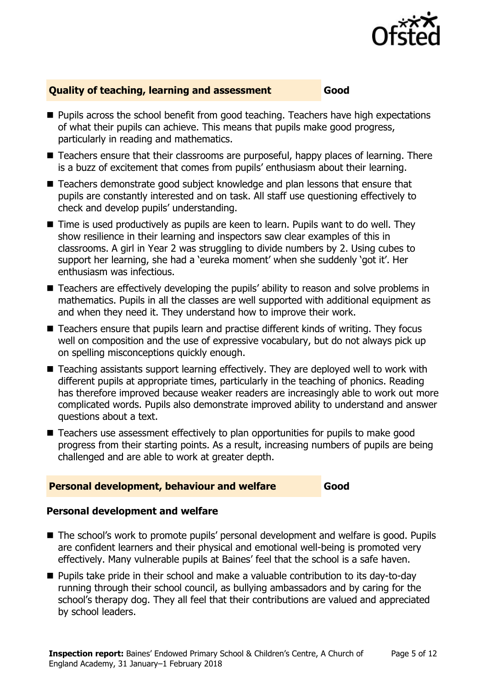

#### **Quality of teaching, learning and assessment Good**

- **Pupils across the school benefit from good teaching. Teachers have high expectations** of what their pupils can achieve. This means that pupils make good progress, particularly in reading and mathematics.
- Teachers ensure that their classrooms are purposeful, happy places of learning. There is a buzz of excitement that comes from pupils' enthusiasm about their learning.
- Teachers demonstrate good subject knowledge and plan lessons that ensure that pupils are constantly interested and on task. All staff use questioning effectively to check and develop pupils' understanding.
- Time is used productively as pupils are keen to learn. Pupils want to do well. They show resilience in their learning and inspectors saw clear examples of this in classrooms. A girl in Year 2 was struggling to divide numbers by 2. Using cubes to support her learning, she had a 'eureka moment' when she suddenly 'got it'. Her enthusiasm was infectious.
- Teachers are effectively developing the pupils' ability to reason and solve problems in mathematics. Pupils in all the classes are well supported with additional equipment as and when they need it. They understand how to improve their work.
- Teachers ensure that pupils learn and practise different kinds of writing. They focus well on composition and the use of expressive vocabulary, but do not always pick up on spelling misconceptions quickly enough.
- Teaching assistants support learning effectively. They are deployed well to work with different pupils at appropriate times, particularly in the teaching of phonics. Reading has therefore improved because weaker readers are increasingly able to work out more complicated words. Pupils also demonstrate improved ability to understand and answer questions about a text.
- Teachers use assessment effectively to plan opportunities for pupils to make good progress from their starting points. As a result, increasing numbers of pupils are being challenged and are able to work at greater depth.

#### **Personal development, behaviour and welfare Good**

### **Personal development and welfare**

- The school's work to promote pupils' personal development and welfare is good. Pupils are confident learners and their physical and emotional well-being is promoted very effectively. Many vulnerable pupils at Baines' feel that the school is a safe haven.
- Pupils take pride in their school and make a valuable contribution to its day-to-day running through their school council, as bullying ambassadors and by caring for the school's therapy dog. They all feel that their contributions are valued and appreciated by school leaders.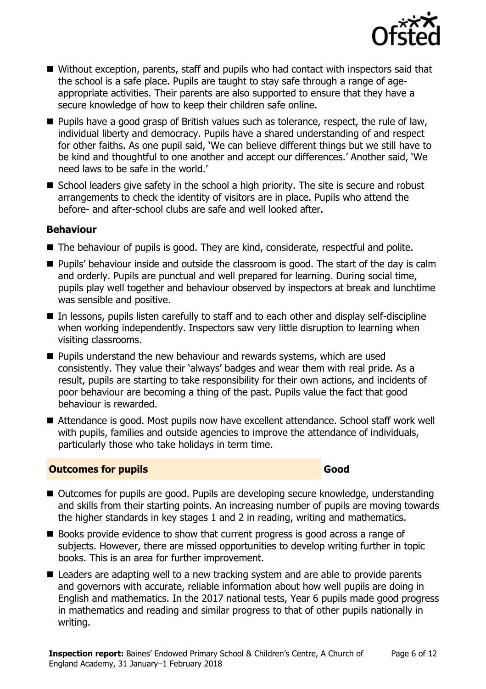

- Without exception, parents, staff and pupils who had contact with inspectors said that the school is a safe place. Pupils are taught to stay safe through a range of ageappropriate activities. Their parents are also supported to ensure that they have a secure knowledge of how to keep their children safe online.
- Pupils have a good grasp of British values such as tolerance, respect, the rule of law, individual liberty and democracy. Pupils have a shared understanding of and respect for other faiths. As one pupil said, 'We can believe different things but we still have to be kind and thoughtful to one another and accept our differences.' Another said, 'We need laws to be safe in the world.'
- School leaders give safety in the school a high priority. The site is secure and robust arrangements to check the identity of visitors are in place. Pupils who attend the before- and after-school clubs are safe and well looked after.

#### **Behaviour**

- The behaviour of pupils is good. They are kind, considerate, respectful and polite.
- **Pupils' behaviour inside and outside the classroom is good. The start of the day is calm** and orderly. Pupils are punctual and well prepared for learning. During social time, pupils play well together and behaviour observed by inspectors at break and lunchtime was sensible and positive.
- In lessons, pupils listen carefully to staff and to each other and display self-discipline when working independently. Inspectors saw very little disruption to learning when visiting classrooms.
- **Pupils understand the new behaviour and rewards systems, which are used** consistently. They value their 'always' badges and wear them with real pride. As a result, pupils are starting to take responsibility for their own actions, and incidents of poor behaviour are becoming a thing of the past. Pupils value the fact that good behaviour is rewarded.
- Attendance is good. Most pupils now have excellent attendance. School staff work well with pupils, families and outside agencies to improve the attendance of individuals, particularly those who take holidays in term time.

#### **Outcomes for pupils Good**

- Outcomes for pupils are good. Pupils are developing secure knowledge, understanding and skills from their starting points. An increasing number of pupils are moving towards the higher standards in key stages 1 and 2 in reading, writing and mathematics.
- Books provide evidence to show that current progress is good across a range of subjects. However, there are missed opportunities to develop writing further in topic books. This is an area for further improvement.
- Leaders are adapting well to a new tracking system and are able to provide parents and governors with accurate, reliable information about how well pupils are doing in English and mathematics. In the 2017 national tests, Year 6 pupils made good progress in mathematics and reading and similar progress to that of other pupils nationally in writing.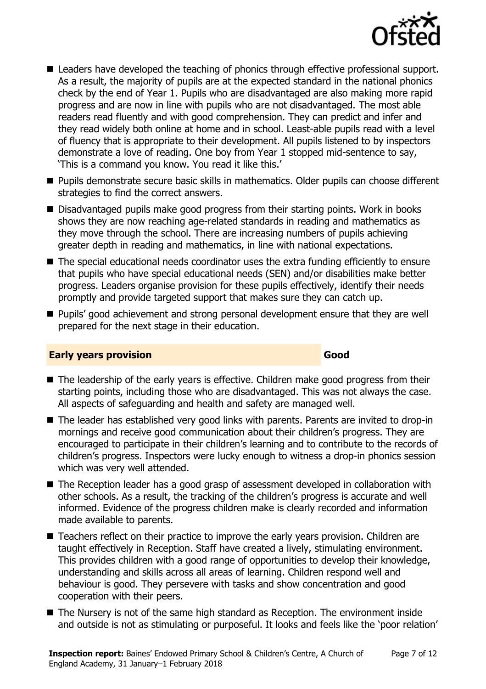

- Leaders have developed the teaching of phonics through effective professional support. As a result, the majority of pupils are at the expected standard in the national phonics check by the end of Year 1. Pupils who are disadvantaged are also making more rapid progress and are now in line with pupils who are not disadvantaged. The most able readers read fluently and with good comprehension. They can predict and infer and they read widely both online at home and in school. Least-able pupils read with a level of fluency that is appropriate to their development. All pupils listened to by inspectors demonstrate a love of reading. One boy from Year 1 stopped mid-sentence to say, 'This is a command you know. You read it like this.'
- **Pupils demonstrate secure basic skills in mathematics. Older pupils can choose different** strategies to find the correct answers.
- Disadvantaged pupils make good progress from their starting points. Work in books shows they are now reaching age-related standards in reading and mathematics as they move through the school. There are increasing numbers of pupils achieving greater depth in reading and mathematics, in line with national expectations.
- The special educational needs coordinator uses the extra funding efficiently to ensure that pupils who have special educational needs (SEN) and/or disabilities make better progress. Leaders organise provision for these pupils effectively, identify their needs promptly and provide targeted support that makes sure they can catch up.
- **Pupils' good achievement and strong personal development ensure that they are well** prepared for the next stage in their education.

#### **Early years provision Good Good**

- The leadership of the early years is effective. Children make good progress from their starting points, including those who are disadvantaged. This was not always the case. All aspects of safeguarding and health and safety are managed well.
- The leader has established very good links with parents. Parents are invited to drop-in mornings and receive good communication about their children's progress. They are encouraged to participate in their children's learning and to contribute to the records of children's progress. Inspectors were lucky enough to witness a drop-in phonics session which was very well attended.
- The Reception leader has a good grasp of assessment developed in collaboration with other schools. As a result, the tracking of the children's progress is accurate and well informed. Evidence of the progress children make is clearly recorded and information made available to parents.
- Teachers reflect on their practice to improve the early years provision. Children are taught effectively in Reception. Staff have created a lively, stimulating environment. This provides children with a good range of opportunities to develop their knowledge, understanding and skills across all areas of learning. Children respond well and behaviour is good. They persevere with tasks and show concentration and good cooperation with their peers.
- The Nursery is not of the same high standard as Reception. The environment inside and outside is not as stimulating or purposeful. It looks and feels like the 'poor relation'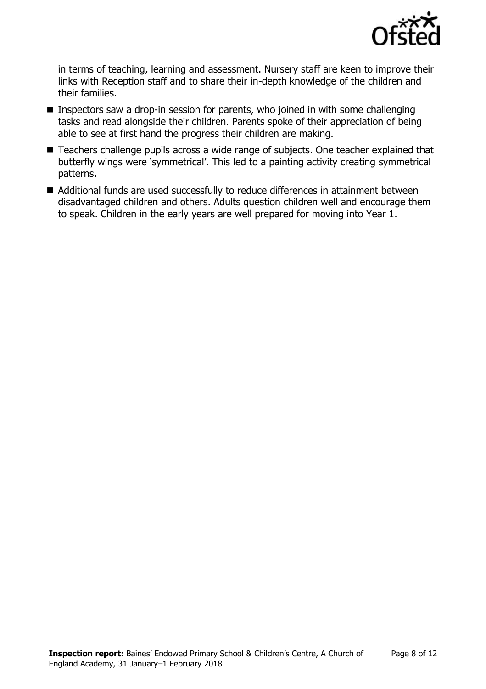

in terms of teaching, learning and assessment. Nursery staff are keen to improve their links with Reception staff and to share their in-depth knowledge of the children and their families.

- **Inspectors saw a drop-in session for parents, who joined in with some challenging** tasks and read alongside their children. Parents spoke of their appreciation of being able to see at first hand the progress their children are making.
- Teachers challenge pupils across a wide range of subjects. One teacher explained that butterfly wings were 'symmetrical'. This led to a painting activity creating symmetrical patterns.
- Additional funds are used successfully to reduce differences in attainment between disadvantaged children and others. Adults question children well and encourage them to speak. Children in the early years are well prepared for moving into Year 1.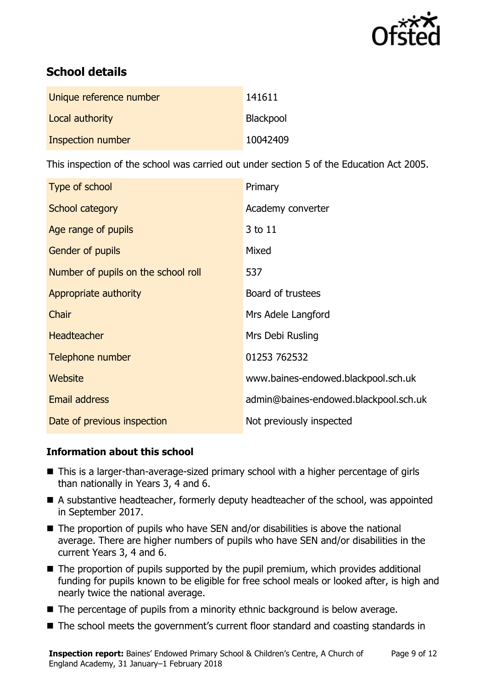

# **School details**

| Unique reference number | 141611    |
|-------------------------|-----------|
| Local authority         | Blackpool |
| Inspection number       | 10042409  |

This inspection of the school was carried out under section 5 of the Education Act 2005.

| Type of school                      | Primary                               |
|-------------------------------------|---------------------------------------|
| School category                     | Academy converter                     |
| Age range of pupils                 | 3 to 11                               |
| Gender of pupils                    | Mixed                                 |
| Number of pupils on the school roll | 537                                   |
| Appropriate authority               | Board of trustees                     |
| Chair                               | Mrs Adele Langford                    |
| <b>Headteacher</b>                  | Mrs Debi Rusling                      |
| Telephone number                    | 01253 762532                          |
| <b>Website</b>                      | www.baines-endowed.blackpool.sch.uk   |
| <b>Email address</b>                | admin@baines-endowed.blackpool.sch.uk |
| Date of previous inspection         | Not previously inspected              |

### **Information about this school**

- This is a larger-than-average-sized primary school with a higher percentage of girls than nationally in Years 3, 4 and 6.
- A substantive headteacher, formerly deputy headteacher of the school, was appointed in September 2017.
- $\blacksquare$  The proportion of pupils who have SEN and/or disabilities is above the national average. There are higher numbers of pupils who have SEN and/or disabilities in the current Years 3, 4 and 6.
- The proportion of pupils supported by the pupil premium, which provides additional funding for pupils known to be eligible for free school meals or looked after, is high and nearly twice the national average.
- The percentage of pupils from a minority ethnic background is below average.
- The school meets the government's current floor standard and coasting standards in

**Inspection report:** Baines' Endowed Primary School & Children's Centre, A Church of England Academy, 31 January–1 February 2018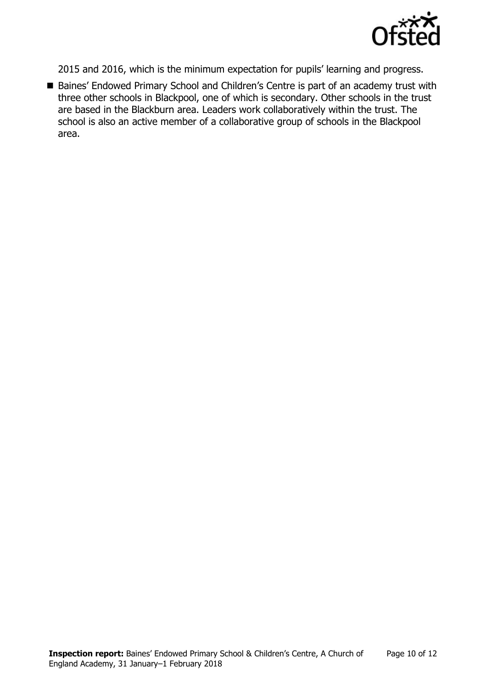

2015 and 2016, which is the minimum expectation for pupils' learning and progress.

■ Baines' Endowed Primary School and Children's Centre is part of an academy trust with three other schools in Blackpool, one of which is secondary. Other schools in the trust are based in the Blackburn area. Leaders work collaboratively within the trust. The school is also an active member of a collaborative group of schools in the Blackpool area.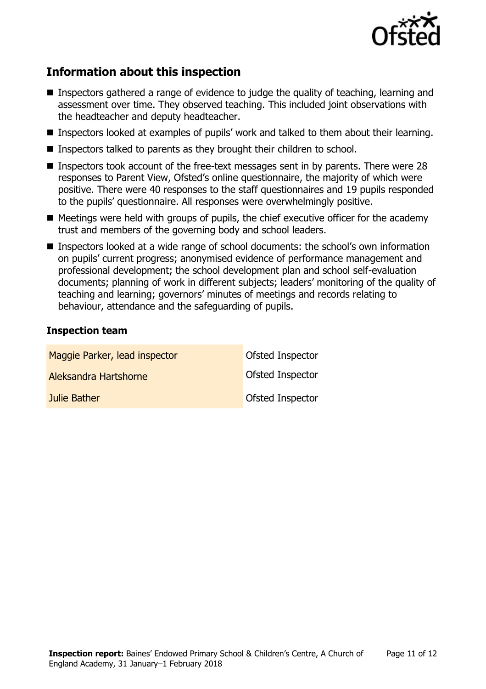

# **Information about this inspection**

- Inspectors gathered a range of evidence to judge the quality of teaching, learning and assessment over time. They observed teaching. This included joint observations with the headteacher and deputy headteacher.
- Inspectors looked at examples of pupils' work and talked to them about their learning.
- Inspectors talked to parents as they brought their children to school.
- **Inspectors took account of the free-text messages sent in by parents. There were 28** responses to Parent View, Ofsted's online questionnaire, the majority of which were positive. There were 40 responses to the staff questionnaires and 19 pupils responded to the pupils' questionnaire. All responses were overwhelmingly positive.
- $\blacksquare$  Meetings were held with groups of pupils, the chief executive officer for the academy trust and members of the governing body and school leaders.
- Inspectors looked at a wide range of school documents: the school's own information on pupils' current progress; anonymised evidence of performance management and professional development; the school development plan and school self-evaluation documents; planning of work in different subjects; leaders' monitoring of the quality of teaching and learning; governors' minutes of meetings and records relating to behaviour, attendance and the safeguarding of pupils.

#### **Inspection team**

| Maggie Parker, lead inspector | <b>Ofsted Inspector</b> |
|-------------------------------|-------------------------|
| Aleksandra Hartshorne         | <b>Ofsted Inspector</b> |
| Julie Bather                  | Ofsted Inspector        |